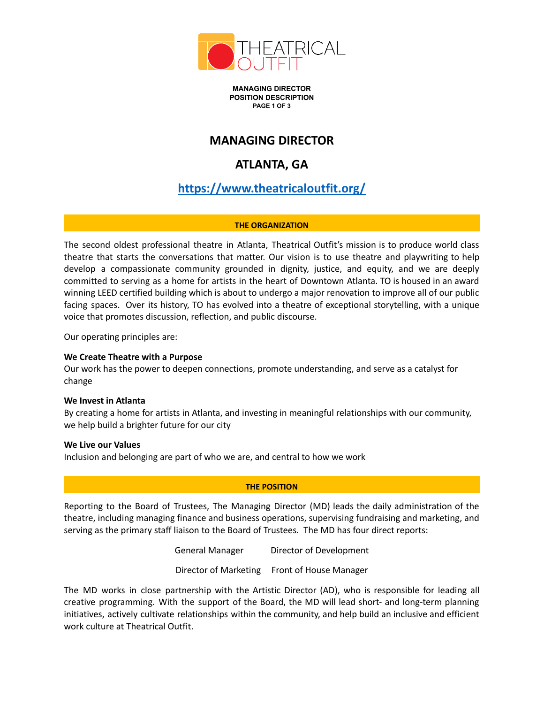

**MANAGING DIRECTOR POSITION DESCRIPTION PAGE 1 OF 3**

### **MANAGING DIRECTOR**

# **ATLANTA, GA**

# **<https://www.theatricaloutfit.org/>**

### **THE ORGANIZATION**

The second oldest professional theatre in Atlanta, Theatrical Outfit's mission is to produce world class theatre that starts the conversations that matter. Our vision is to use theatre and playwriting to help develop a compassionate community grounded in dignity, justice, and equity, and we are deeply committed to serving as a home for artists in the heart of Downtown Atlanta. TO is housed in an award winning LEED certified building which is about to undergo a major renovation to improve all of our public facing spaces. Over its history, TO has evolved into a theatre of exceptional storytelling, with a unique voice that promotes discussion, reflection, and public discourse.

Our operating principles are:

#### **We Create Theatre with a Purpose**

Our work has the power to deepen connections, promote understanding, and serve as a catalyst for change

#### **We Invest in Atlanta**

By creating a home for artists in Atlanta, and investing in meaningful relationships with our community, we help build a brighter future for our city

#### **We Live our Values**

Inclusion and belonging are part of who we are, and central to how we work

### **THE POSITION**

Reporting to the Board of Trustees, The Managing Director (MD) leads the daily administration of the theatre, including managing finance and business operations, supervising fundraising and marketing, and serving as the primary staff liaison to the Board of Trustees. The MD has four direct reports:

> General Manager Director of Development Director of Marketing Front of House Manager

The MD works in close partnership with the Artistic Director (AD), who is responsible for leading all creative programming. With the support of the Board, the MD will lead short- and long-term planning initiatives, actively cultivate relationships within the community, and help build an inclusive and efficient work culture at Theatrical Outfit.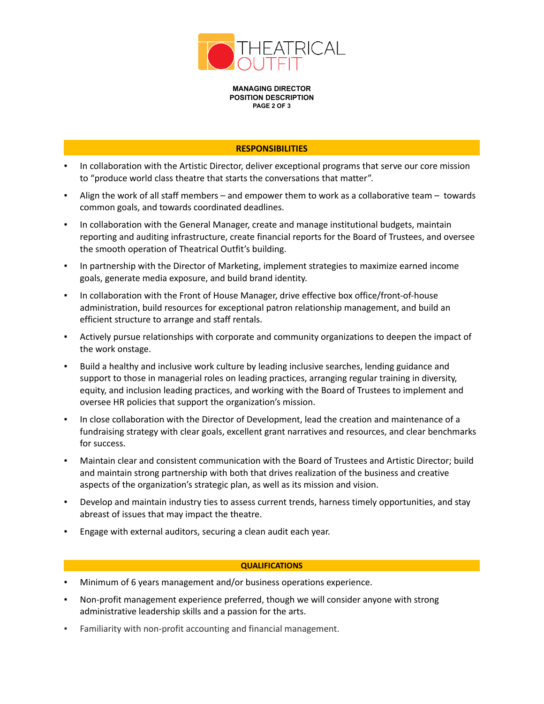

**MANAGING DIRECTOR POSITION DESCRIPTION PAGE 2 OF 3**

#### **RESPONSIBILITIES**

- In collaboration with the Artistic Director, deliver exceptional programs that serve our core mission to "produce world class theatre that starts the conversations that matter".
- Align the work of all staff members and empower them to work as a collaborative team towards common goals, and towards coordinated deadlines.
- In collaboration with the General Manager, create and manage institutional budgets, maintain reporting and auditing infrastructure, create financial reports for the Board of Trustees, and oversee the smooth operation of Theatrical Outfit's building.
- In partnership with the Director of Marketing, implement strategies to maximize earned income goals, generate media exposure, and build brand identity.
- In collaboration with the Front of House Manager, drive effective box office/front-of-house administration, build resources for exceptional patron relationship management, and build an efficient structure to arrange and staff rentals.
- Actively pursue relationships with corporate and community organizations to deepen the impact of the work onstage.
- Build a healthy and inclusive work culture by leading inclusive searches, lending guidance and support to those in managerial roles on leading practices, arranging regular training in diversity, equity, and inclusion leading practices, and working with the Board of Trustees to implement and oversee HR policies that support the organization's mission.
- In close collaboration with the Director of Development, lead the creation and maintenance of a fundraising strategy with clear goals, excellent grant narratives and resources, and clear benchmarks for success.
- Maintain clear and consistent communication with the Board of Trustees and Artistic Director; build and maintain strong partnership with both that drives realization of the business and creative aspects of the organization's strategic plan, as well as its mission and vision.
- Develop and maintain industry ties to assess current trends, harness timely opportunities, and stay abreast of issues that may impact the theatre.
- Engage with external auditors, securing a clean audit each year.

#### **QUALIFICATIONS**

- Minimum of 6 years management and/or business operations experience.
- Non-profit management experience preferred, though we will consider anyone with strong administrative leadership skills and a passion for the arts.
- Familiarity with non-profit accounting and financial management.